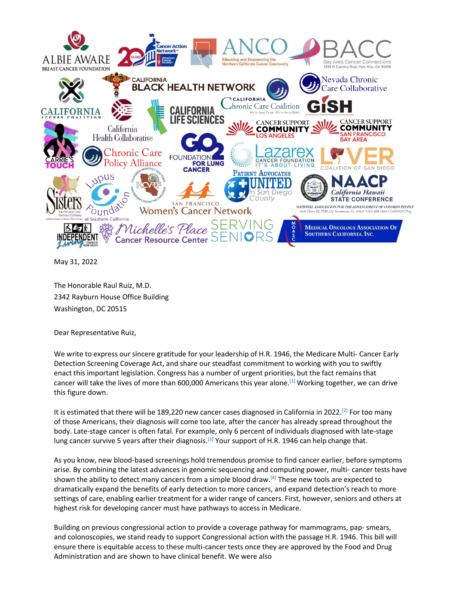

May 31, 2022

The Honorable Raul Ruiz, M.D. 2342 Rayburn House Office Building Washington, DC 20515

Dear Representative Ruiz,

We write to express our sincere gratitude for your leadership of H.R. 1946, the Medicare Multi- Cancer Early Detection Screening Coverage Act, and share our steadfast commitment to working with you to swiftly enact this important legislation. Congress has a number of urgent priorities, but the fact remains that cancer will take the lives of more than 600,000 Americans this year alone.[1] Working together, we can drive this figure down.

It is estimated that there will be 189,220 new cancer cases diagnosed in California in 2022.<sup>[2]</sup> For too many of those Americans, their diagnosis will come too late, after the cancer has already spread throughout the body. Late-stage cancer is often fatal. For example, only 6 percent of individuals diagnosed with late-stage lung cancer survive 5 years after their diagnosis.<sup>[3]</sup> Your support of H.R. 1946 can help change that.

As you know, new blood-based screenings hold tremendous promise to find cancer earlier, before symptoms arise. By combining the latest advances in genomic sequencing and computing power, multi- cancer tests have shown the ability to detect many cancers from a simple blood draw. $[4]$  These new tools are expected to dramatically expand the benefits of early detection to more cancers, and expand detection's reach to more settings of care, enabling earlier treatment for a wider range of cancers. First, however, seniors and others at highest risk for developing cancer must have pathways to access in Medicare.

Building on previous congressional action to provide a coverage pathway for mammograms, pap- smears, and colonoscopies, we stand ready to support Congressional action with the passage H.R. 1946. This bill will ensure there is equitable access to these multi-cancer tests once they are approved by the Food and Drug Administration and are shown to have clinical benefit. We were also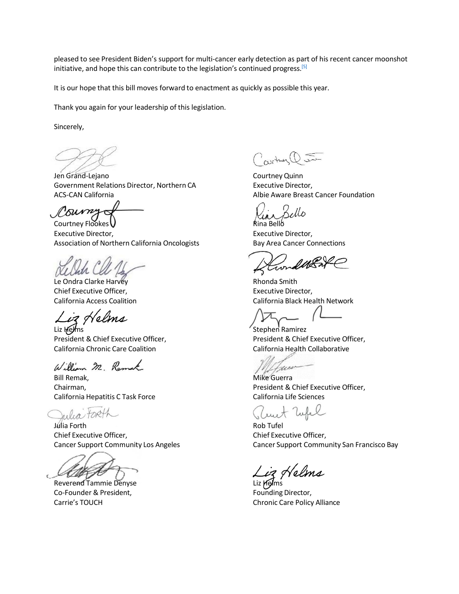pleased to see President Biden's support for multi-cancer early detection as part of his recent cancer moonshot initiative, and hope this can contribute to the legislation's continued progress.<sup>[5]</sup>

It is our hope that this bill moves forward to enactment as quickly as possible this year.

Thank you again for your leadership of this legislation.

Sincerely,

Jen Grand-Lejano Courtney Quinn Government Relations Director, Northern CA Executive Director, ACS-CAN California **Albie Aware Breast Cancer Foundation** Albie Aware Breast Cancer Foundation

um

Courtney Flookes V and the Courtney Flookes V and the Courtney Flookes V and the Courtney of Rina Bello Executive Director, **Executive Director,** Executive Director, Association of Northern California Oncologists Bay Area Cancer Connections

Le Ondra Clarke Harvey **Rhonda** Smith Chief Executive Officer, The Chief Executive Director,

Liz Helms

Liz Helms Stephen Ramirez California Chronic Care Coalition California Health Collaborative

William M. Remak

Bill Remak, **Mike Guerra** Mike Guerra California Hepatitis C Task Force California Life Sciences

lin

Julia Forth Rob Tufel Chief Executive Officer, Chief Executive Officer,

Reverend Tammie Denyse Liz Aglms Co-Founder & President, The Co-Founding Director,

Cartner Q J

ملكه

California Access Coalition California Black Health Network

President & Chief Executive Officer, President & Chief Executive Officer,

Chairman, President & Chief Executive Officer,

Cancer Support Community Los Angeles Cancer Support Community San Francisco Bay

iz Helt

Carrie's TOUCH Chronic Care Policy Alliance